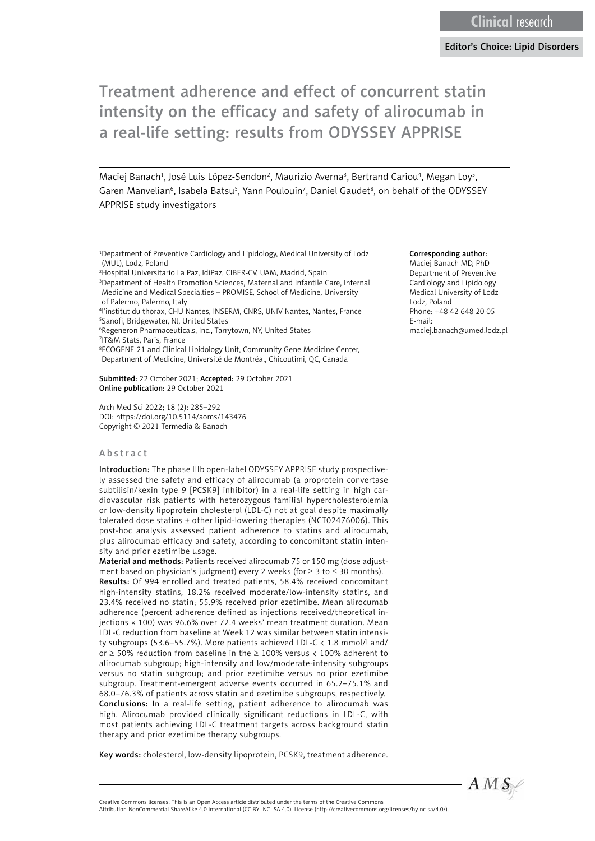# Treatment adherence and effect of concurrent statin intensity on the efficacy and safety of alirocumab in a real-life setting: results from ODYSSEY APPRISE

Maciej Banach<sup>1</sup>, José Luis López-Sendon<sup>2</sup>, Maurizio Averna<sup>3</sup>, Bertrand Cariou<sup>4</sup>, Megan Loy<sup>5</sup>, Garen Manvelian<sup>6</sup>, Isabela Batsu<sup>5</sup>, Yann Poulouin<sup>7</sup>, Daniel Gaudet<sup>8</sup>, on behalf of the ODYSSEY APPRISE study investigators

1 Department of Preventive Cardiology and Lipidology, Medical University of Lodz (MUL), Lodz, Poland

2 Hospital Universitario La Paz, IdiPaz, CIBER-CV, UAM, Madrid, Spain

3 Department of Health Promotion Sciences, Maternal and Infantile Care, Internal Medicine and Medical Specialties – PROMISE, School of Medicine, University of Palermo, Palermo, Italy

4 l'institut du thorax, CHU Nantes, INSERM, CNRS, UNIV Nantes, Nantes, France 5 Sanofi, Bridgewater, NJ, United States

6 Regeneron Pharmaceuticals, Inc., Tarrytown, NY, United States

7 IT&M Stats, Paris, France

8 ECOGENE-21 and Clinical Lipidology Unit, Community Gene Medicine Center, Department of Medicine, Université de Montréal, Chicoutimi, QC, Canada

Submitted: 22 October 2021; Accepted: 29 October 2021 Online publication: 29 October 2021

Arch Med Sci 2022; 18 (2): 285–292 DOI: https://doi.org/10.5114/aoms/143476 Copyright © 2021 Termedia & Banach

#### Abstract

Introduction: The phase IIIb open-label ODYSSEY APPRISE study prospectively assessed the safety and efficacy of alirocumab (a proprotein convertase subtilisin/kexin type 9 [PCSK9] inhibitor) in a real-life setting in high cardiovascular risk patients with heterozygous familial hypercholesterolemia or low-density lipoprotein cholesterol (LDL-C) not at goal despite maximally tolerated dose statins ± other lipid-lowering therapies (NCT02476006). This post-hoc analysis assessed patient adherence to statins and alirocumab, plus alirocumab efficacy and safety, according to concomitant statin intensity and prior ezetimibe usage.

Material and methods: Patients received alirocumab 75 or 150 mg (dose adjustment based on physician's judgment) every 2 weeks (for  $\geq$  3 to  $\leq$  30 months). Results: Of 994 enrolled and treated patients, 58.4% received concomitant high-intensity statins, 18.2% received moderate/low-intensity statins, and 23.4% received no statin; 55.9% received prior ezetimibe. Mean alirocumab adherence (percent adherence defined as injections received/theoretical injections × 100) was 96.6% over 72.4 weeks' mean treatment duration. Mean LDL-C reduction from baseline at Week 12 was similar between statin intensity subgroups (53.6–55.7%). More patients achieved LDL-C < 1.8 mmol/l and/ or ≥ 50% reduction from baseline in the ≥ 100% versus < 100% adherent to alirocumab subgroup; high-intensity and low/moderate-intensity subgroups versus no statin subgroup; and prior ezetimibe versus no prior ezetimibe subgroup. Treatment-emergent adverse events occurred in 65.2–75.1% and 68.0–76.3% of patients across statin and ezetimibe subgroups, respectively. Conclusions: In a real-life setting, patient adherence to alirocumab was high. Alirocumab provided clinically significant reductions in LDL-C, with most patients achieving LDL-C treatment targets across background statin therapy and prior ezetimibe therapy subgroups.

Key words: cholesterol, low-density lipoprotein, PCSK9, treatment adherence.

#### Corresponding author:

Maciej Banach MD, PhD Department of Preventive Cardiology and Lipidology Medical University of Lodz Lodz, Poland Phone: +48 42 648 20 05 E-mail: maciej.banach@umed.lodz.pl

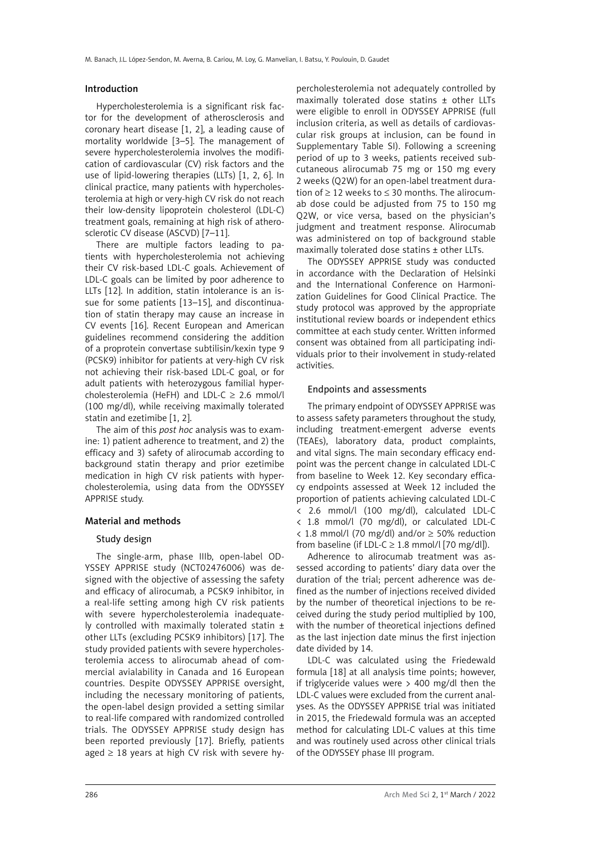## Introduction

Hypercholesterolemia is a significant risk factor for the development of atherosclerosis and coronary heart disease [1, 2], a leading cause of mortality worldwide [3–5]. The management of severe hypercholesterolemia involves the modification of cardiovascular (CV) risk factors and the use of lipid-lowering therapies (LLTs) [1, 2, 6]. In clinical practice, many patients with hypercholesterolemia at high or very-high CV risk do not reach their low-density lipoprotein cholesterol (LDL-C) treatment goals, remaining at high risk of atherosclerotic CV disease (ASCVD) [7–11].

There are multiple factors leading to patients with hypercholesterolemia not achieving their CV risk-based LDL-C goals. Achievement of LDL-C goals can be limited by poor adherence to LLTs [12]. In addition, statin intolerance is an issue for some patients [13–15], and discontinuation of statin therapy may cause an increase in CV events [16]. Recent European and American guidelines recommend considering the addition of a proprotein convertase subtilisin/kexin type 9 (PCSK9) inhibitor for patients at very-high CV risk not achieving their risk-based LDL-C goal, or for adult patients with heterozygous familial hypercholesterolemia (HeFH) and LDL-C  $\geq$  2.6 mmol/l (100 mg/dl), while receiving maximally tolerated statin and ezetimibe [1, 2].

The aim of this *post hoc* analysis was to examine: 1) patient adherence to treatment, and 2) the efficacy and 3) safety of alirocumab according to background statin therapy and prior ezetimibe medication in high CV risk patients with hypercholesterolemia, using data from the ODYSSEY APPRISE study.

# Material and methods

# Study design

The single-arm, phase IIIb, open-label OD-YSSEY APPRISE study (NCT02476006) was designed with the objective of assessing the safety and efficacy of alirocumab, a PCSK9 inhibitor, in a real-life setting among high CV risk patients with severe hypercholesterolemia inadequately controlled with maximally tolerated statin  $\pm$ other LLTs (excluding PCSK9 inhibitors) [17]. The study provided patients with severe hypercholesterolemia access to alirocumab ahead of commercial avialability in Canada and 16 European countries. Despite ODYSSEY APPRISE oversight, including the necessary monitoring of patients, the open-label design provided a setting similar to real-life compared with randomized controlled trials. The ODYSSEY APPRISE study design has been reported previously [17]. Briefly, patients aged  $\geq$  18 years at high CV risk with severe hy-

percholesterolemia not adequately controlled by maximally tolerated dose statins ± other LLTs were eligible to enroll in ODYSSEY APPRISE (full inclusion criteria, as well as details of cardiovascular risk groups at inclusion, can be found in Supplementary Table SI). Following a screening period of up to 3 weeks, patients received subcutaneous alirocumab 75 mg or 150 mg every 2 weeks (Q2W) for an open-label treatment duration of ≥ 12 weeks to ≤ 30 months. The alirocumab dose could be adjusted from 75 to 150 mg Q2W, or vice versa, based on the physician's judgment and treatment response. Alirocumab was administered on top of background stable maximally tolerated dose statins ± other LLTs.

The ODYSSEY APPRISE study was conducted in accordance with the Declaration of Helsinki and the International Conference on Harmonization Guidelines for Good Clinical Practice. The study protocol was approved by the appropriate institutional review boards or independent ethics committee at each study center. Written informed consent was obtained from all participating individuals prior to their involvement in study-related activities.

### Endpoints and assessments

The primary endpoint of ODYSSEY APPRISE was to assess safety parameters throughout the study, including treatment-emergent adverse events (TEAEs), laboratory data, product complaints, and vital signs. The main secondary efficacy endpoint was the percent change in calculated LDL-C from baseline to Week 12. Key secondary efficacy endpoints assessed at Week 12 included the proportion of patients achieving calculated LDL-C < 2.6 mmol/l (100 mg/dl), calculated LDL-C < 1.8 mmol/l (70 mg/dl), or calculated LDL-C < 1.8 mmol/l (70 mg/dl) and/or ≥ 50% reduction from baseline (if LDL-C  $\geq$  1.8 mmol/l [70 mg/dl]).

Adherence to alirocumab treatment was assessed according to patients' diary data over the duration of the trial; percent adherence was defined as the number of injections received divided by the number of theoretical injections to be received during the study period multiplied by 100, with the number of theoretical injections defined as the last injection date minus the first injection date divided by 14.

LDL-C was calculated using the Friedewald formula [18] at all analysis time points; however, if triglyceride values were > 400 mg/dl then the LDL-C values were excluded from the current analyses. As the ODYSSEY APPRISE trial was initiated in 2015, the Friedewald formula was an accepted method for calculating LDL-C values at this time and was routinely used across other clinical trials of the ODYSSEY phase III program.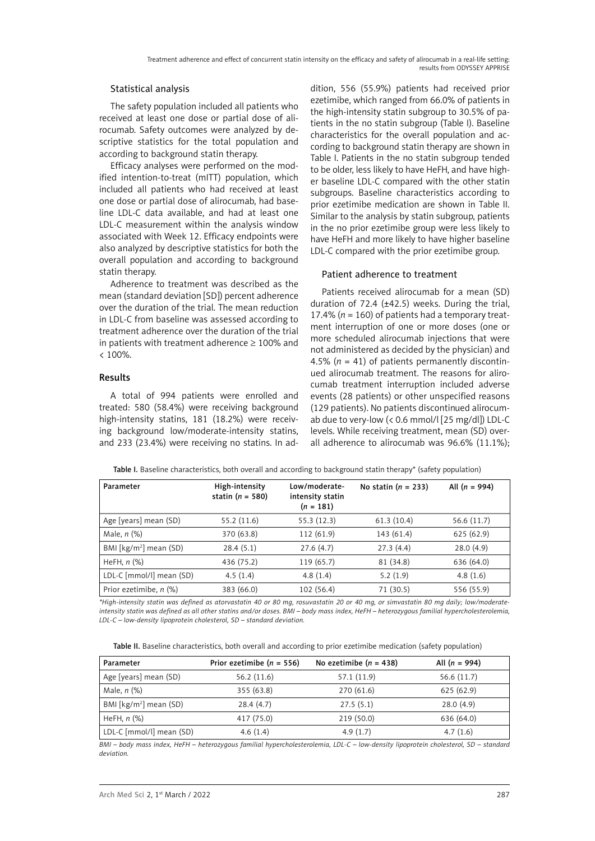# Statistical analysis

The safety population included all patients who received at least one dose or partial dose of alirocumab. Safety outcomes were analyzed by descriptive statistics for the total population and according to background statin therapy.

Efficacy analyses were performed on the modified intention-to-treat (mITT) population, which included all patients who had received at least one dose or partial dose of alirocumab, had baseline LDL-C data available, and had at least one LDL-C measurement within the analysis window associated with Week 12. Efficacy endpoints were also analyzed by descriptive statistics for both the overall population and according to background statin therapy.

Adherence to treatment was described as the mean (standard deviation [SD]) percent adherence over the duration of the trial. The mean reduction in LDL-C from baseline was assessed according to treatment adherence over the duration of the trial in patients with treatment adherence  $\geq 100\%$  and  $< 100\%$ .

# Results

A total of 994 patients were enrolled and treated: 580 (58.4%) were receiving background high-intensity statins, 181 (18.2%) were receiving background low/moderate-intensity statins, and 233 (23.4%) were receiving no statins. In addition, 556 (55.9%) patients had received prior ezetimibe, which ranged from 66.0% of patients in the high-intensity statin subgroup to 30.5% of patients in the no statin subgroup (Table I). Baseline characteristics for the overall population and according to background statin therapy are shown in Table I. Patients in the no statin subgroup tended to be older, less likely to have HeFH, and have higher baseline LDL-C compared with the other statin subgroups. Baseline characteristics according to prior ezetimibe medication are shown in Table II. Similar to the analysis by statin subgroup, patients in the no prior ezetimibe group were less likely to have HeFH and more likely to have higher baseline LDL-C compared with the prior ezetimibe group.

# Patient adherence to treatment

Patients received alirocumab for a mean (SD) duration of 72.4 (±42.5) weeks. During the trial, 17.4% (*n* = 160) of patients had a temporary treatment interruption of one or more doses (one or more scheduled alirocumab injections that were not administered as decided by the physician) and 4.5%  $(n = 41)$  of patients permanently discontinued alirocumab treatment. The reasons for alirocumab treatment interruption included adverse events (28 patients) or other unspecified reasons (129 patients). No patients discontinued alirocumab due to very-low (< 0.6 mmol/l [25 mg/dl]) LDL-C levels. While receiving treatment, mean (SD) overall adherence to alirocumab was 96.6% (11.1%);

| Parameter                          | High-intensity<br>statin ( $n = 580$ ) | Low/moderate-<br>intensity statin<br>$(n = 181)$ | No statin $(n = 233)$ | All $(n = 994)$ |
|------------------------------------|----------------------------------------|--------------------------------------------------|-----------------------|-----------------|
| Age [years] mean (SD)              | 55.2 (11.6)                            | 55.3 (12.3)                                      | 61.3(10.4)            | 56.6 (11.7)     |
| Male, $n$ $(\%)$                   | 370 (63.8)                             | 112 (61.9)                                       | 143 (61.4)            | 625(62.9)       |
| BMI [kg/m <sup>2</sup> ] mean (SD) | 28.4(5.1)                              | 27.6(4.7)                                        | 27.3(4.4)             | 28.0(4.9)       |
| HeFH, $n$ $%$                      | 436 (75.2)                             | 119 (65.7)                                       | 81 (34.8)             | 636 (64.0)      |
| LDL-C [mmol/l] mean (SD)           | 4.5(1.4)                               | 4.8(1.4)                                         | 5.2(1.9)              | 4.8(1.6)        |
| Prior ezetimibe, n (%)             | 383 (66.0)                             | 102 (56.4)                                       | 71 (30.5)             | 556 (55.9)      |

Table I. Baseline characteristics, both overall and according to background statin therapy\* (safety population)

*\*High-intensity statin was defined as atorvastatin 40 or 80 mg, rosuvastatin 20 or 40 mg, or simvastatin 80 mg daily; low/moderateintensity statin was defined as all other statins and/or doses. BMI – body mass index, HeFH – heterozygous familial hypercholesterolemia, LDL-C – low-density lipoprotein cholesterol, SD – standard deviation.*

Table II. Baseline characteristics, both overall and according to prior ezetimibe medication (safety population)

| Parameter                          | Prior ezetimibe ( $n = 556$ ) | No ezetimibe $(n = 438)$ | All $(n = 994)$ |
|------------------------------------|-------------------------------|--------------------------|-----------------|
| Age [years] mean (SD)              | 56.2(11.6)                    | 57.1 (11.9)              | 56.6(11.7)      |
| Male, $n$ $%$                      | 355 (63.8)                    | 270 (61.6)               | 625(62.9)       |
| BMI [kg/m <sup>2</sup> ] mean (SD) | 28.4(4.7)                     | 27.5(5.1)                | 28.0(4.9)       |
| HeFH, $n$ $%$                      | 417 (75.0)                    | 219 (50.0)               | 636 (64.0)      |
| LDL-C [mmol/l] mean (SD)           | 4.6(1.4)                      | 4.9(1.7)                 | 4.7(1.6)        |

*BMI – body mass index, HeFH – heterozygous familial hypercholesterolemia, LDL-C – low-density lipoprotein cholesterol, SD – standard deviation.*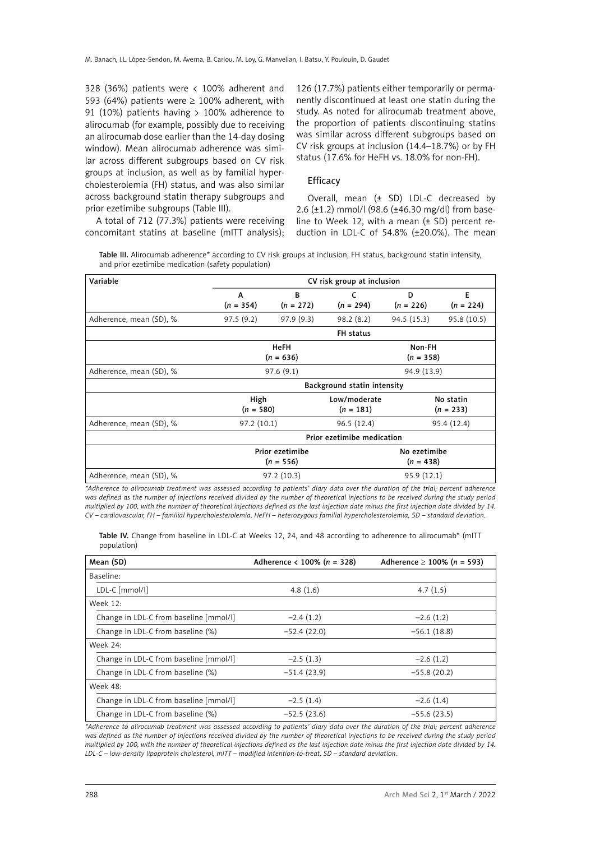328 (36%) patients were < 100% adherent and 593 (64%) patients were  $\geq$  100% adherent, with 91 (10%) patients having > 100% adherence to alirocumab (for example, possibly due to receiving an alirocumab dose earlier than the 14-day dosing window). Mean alirocumab adherence was similar across different subgroups based on CV risk groups at inclusion, as well as by familial hypercholesterolemia (FH) status, and was also similar across background statin therapy subgroups and prior ezetimibe subgroups (Table III).

126 (17.7%) patients either temporarily or permanently discontinued at least one statin during the study. As noted for alirocumab treatment above, the proportion of patients discontinuing statins was similar across different subgroups based on CV risk groups at inclusion (14.4–18.7%) or by FH status (17.6% for HeFH vs. 18.0% for non-FH).

#### Efficacy

A total of 712 (77.3%) patients were receiving concomitant statins at baseline (mITT analysis);

Overall, mean  $(\pm$  SD) LDL-C decreased by 2.6 (±1.2) mmol/l (98.6 (±46.30 mg/dl) from baseline to Week 12, with a mean  $(\pm$  SD) percent reduction in LDL-C of 54.8% (±20.0%). The mean

Table III. Alirocumab adherence\* according to CV risk groups at inclusion, FH status, background statin intensity, and prior ezetimibe medication (safety population)

| Variable                | CV risk group at inclusion  |                  |                           |                  |                  |  |  |
|-------------------------|-----------------------------|------------------|---------------------------|------------------|------------------|--|--|
|                         | A<br>$(n = 354)$            | B<br>$(n = 272)$ | c<br>$(n = 294)$          | D<br>$(n = 226)$ | E<br>$(n = 224)$ |  |  |
|                         |                             |                  |                           |                  |                  |  |  |
| Adherence, mean (SD), % | 97.5(9.2)                   | 97.9(9.3)        | 98.2(8.2)                 | 94.5(15.3)       | 95.8 (10.5)      |  |  |
|                         | FH status                   |                  |                           |                  |                  |  |  |
|                         | <b>HeFH</b>                 |                  |                           | Non-FH           |                  |  |  |
|                         |                             | $(n = 636)$      | $(n = 358)$               |                  |                  |  |  |
| Adherence, mean (SD), % |                             | 97.6(9.1)        |                           | 94.9 (13.9)      |                  |  |  |
|                         | Background statin intensity |                  |                           |                  |                  |  |  |
|                         | High                        |                  | Low/moderate<br>No statin |                  |                  |  |  |
|                         | $(n = 580)$<br>$(n = 181)$  |                  |                           |                  | $(n = 233)$      |  |  |
| Adherence, mean (SD), % | 97.2(10.1)                  |                  | 96.5(12.4)<br>95.4 (12.4) |                  |                  |  |  |
|                         | Prior ezetimibe medication  |                  |                           |                  |                  |  |  |
|                         | Prior ezetimibe             |                  | No ezetimibe              |                  |                  |  |  |
| $(n = 556)$             |                             |                  |                           | $(n = 438)$      |                  |  |  |
| Adherence, mean (SD), % |                             | 97.2 (10.3)      | 95.9 (12.1)               |                  |                  |  |  |

*\*Adherence to alirocumab treatment was assessed according to patients' diary data over the duration of the trial; percent adherence was defined as the number of injections received divided by the number of theoretical injections to be received during the study period multiplied by 100, with the number of theoretical injections defined as the last injection date minus the first injection date divided by 14. CV – cardiovascular, FH – familial hypercholesterolemia, HeFH – heterozygous familial hypercholesterolemia, SD – standard deviation.*

|             |  |  |  | Table IV. Change from baseline in LDL-C at Weeks 12, 24, and 48 according to adherence to alirocumab* (mITT |  |
|-------------|--|--|--|-------------------------------------------------------------------------------------------------------------|--|
| population) |  |  |  |                                                                                                             |  |

| Mean (SD)                              | Adherence < 100% ( $n = 328$ ) | Adherence $\geq$ 100% (n = 593) |
|----------------------------------------|--------------------------------|---------------------------------|
| Baseline:                              |                                |                                 |
| LDL-C [mmol/l]                         | 4.8 $(1.6)$                    | 4.7(1.5)                        |
| Week 12:                               |                                |                                 |
| Change in LDL-C from baseline [mmol/l] | $-2.4(1.2)$                    | $-2.6(1.2)$                     |
| Change in LDL-C from baseline (%)      | $-52.4(22.0)$                  | $-56.1(18.8)$                   |
| Week 24:                               |                                |                                 |
| Change in LDL-C from baseline [mmol/l] | $-2.5(1.3)$                    | $-2.6(1.2)$                     |
| Change in LDL-C from baseline (%)      | $-51.4(23.9)$                  | $-55.8(20.2)$                   |
| Week 48:                               |                                |                                 |
| Change in LDL-C from baseline [mmol/l] | $-2.5(1.4)$                    | $-2.6(1.4)$                     |
| Change in LDL-C from baseline (%)      | $-52.5(23.6)$                  | $-55.6(23.5)$                   |

*\*Adherence to alirocumab treatment was assessed according to patients' diary data over the duration of the trial; percent adherence was defined as the number of injections received divided by the number of theoretical injections to be received during the study period multiplied by 100, with the number of theoretical injections defined as the last injection date minus the first injection date divided by 14. LDL-C – low-density lipoprotein cholesterol, mITT – modified intention-to-treat, SD – standard deviation.*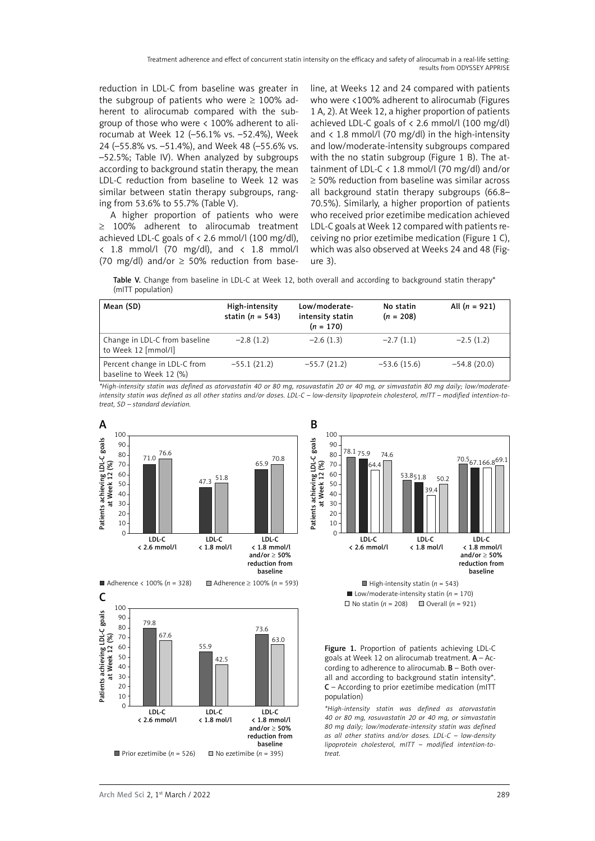Treatment adherence and effect of concurrent statin intensity on the efficacy and safety of alirocumab in a real-life setting: results from ODYSSEY APPRISE

reduction in LDL-C from baseline was greater in the subgroup of patients who were  $\geq$  100% adherent to alirocumab compared with the subgroup of those who were < 100% adherent to alirocumab at Week 12 (–56.1% vs. –52.4%), Week 24 (–55.8% vs. –51.4%), and Week 48 (–55.6% vs. –52.5%; Table IV). When analyzed by subgroups according to background statin therapy, the mean LDL-C reduction from baseline to Week 12 was similar between statin therapy subgroups, ranging from 53.6% to 55.7% (Table V).

A higher proportion of patients who were ≥ 100% adherent to alirocumab treatment achieved LDL-C goals of  $\langle$  2.6 mmol/l (100 mg/dl),  $\langle$  1.8 mmol/l (70 mg/dl), and  $\langle$  1.8 mmol/l (70 mg/dl) and/or  $\geq$  50% reduction from baseline, at Weeks 12 and 24 compared with patients who were <100% adherent to alirocumab (Figures 1 A, 2). At Week 12, a higher proportion of patients achieved LDL-C goals of  $\langle$  2.6 mmol/l (100 mg/dl) and  $\langle$  1.8 mmol/l (70 mg/dl) in the high-intensity and low/moderate-intensity subgroups compared with the no statin subgroup (Figure 1 B). The attainment of LDL-C < 1.8 mmol/l (70 mg/dl) and/or ≥ 50% reduction from baseline was similar across all background statin therapy subgroups (66.8– 70.5%). Similarly, a higher proportion of patients who received prior ezetimibe medication achieved LDL-C goals at Week 12 compared with patients receiving no prior ezetimibe medication (Figure 1 C), which was also observed at Weeks 24 and 48 (Figure 3).



| Mean (SD)                                               | High-intensity<br>statin ( $n = 543$ ) | Low/moderate-<br>intensity statin<br>$(n = 170)$ | No statin<br>$(n = 208)$ | All $(n = 921)$ |
|---------------------------------------------------------|----------------------------------------|--------------------------------------------------|--------------------------|-----------------|
| Change in LDL-C from baseline<br>to Week 12 [mmol/l]    | $-2.8(1.2)$                            | $-2.6(1.3)$                                      | $-2.7(1.1)$              | $-2.5(1.2)$     |
| Percent change in LDL-C from<br>baseline to Week 12 (%) | $-55.1(21.2)$                          | $-55.7(21.2)$                                    | $-53.6(15.6)$            | $-54.8(20.0)$   |

*\*High-intensity statin was defined as atorvastatin 40 or 80 mg, rosuvastatin 20 or 40 mg, or simvastatin 80 mg daily; low/moderateintensity statin was defined as all other statins and/or doses. LDL-C – low-density lipoprotein cholesterol, mITT – modified intention-totreat, SD – standard deviation.*





 $\blacksquare$  Low/moderate-intensity statin ( $n = 170$ )  $\Box$  No statin ( $n = 208$ )  $\Box$  Overall ( $n = 921$ )

Figure 1. Proportion of patients achieving LDL-C goals at Week 12 on alirocumab treatment.  $A - Ac$ cording to adherence to alirocumab.  $B -$  Both overall and according to background statin intensity\*. C – According to prior ezetimibe medication (mITT population)

*\*High-intensity statin was defined as atorvastatin 40 or 80 mg, rosuvastatin 20 or 40 mg, or simvastatin 80 mg daily; low/moderate-intensity statin was defined as all other statins and/or doses. LDL-C – low-density lipoprotein cholesterol, mITT – modified intention-totreat.*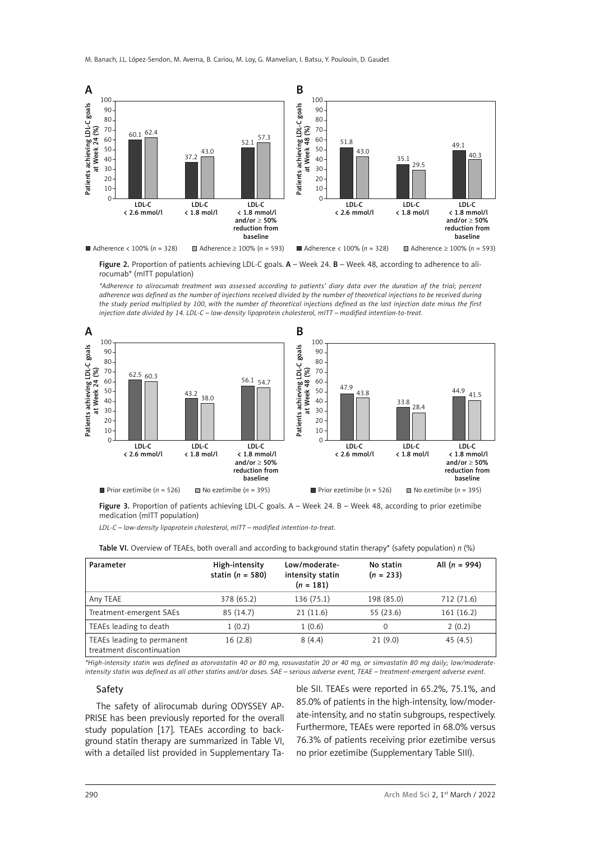

Figure 2. Proportion of patients achieving LDL-C goals. A – Week 24. B – Week 48, according to adherence to alirocumab\* (mITT population)

*\*Adherence to alirocumab treatment was assessed according to patients' diary data over the duration of the trial; percent adherence was defined as the number of injections received divided by the number of theoretical injections to be received during the study period multiplied by 100, with the number of theoretical injections defined as the last injection date minus the first injection date divided by 14. LDL-C – low-density lipoprotein cholesterol, mITT – modified intention-to-treat.*



Figure 3. Proportion of patients achieving LDL-C goals. A - Week 24. B - Week 48, according to prior ezetimibe medication (mITT population)

*LDL-C – low-density lipoprotein cholesterol, mITT – modified intention-to-treat.*

| Parameter                                               | High-intensity<br>statin ( $n = 580$ ) | Low/moderate-<br>intensity statin<br>$(n = 181)$ | No statin<br>$(n = 233)$ | All $(n = 994)$ |
|---------------------------------------------------------|----------------------------------------|--------------------------------------------------|--------------------------|-----------------|
| Any TEAE                                                | 378 (65.2)                             | 136 (75.1)                                       | 198 (85.0)               | 712 (71.6)      |
| Treatment-emergent SAEs                                 | 85(14.7)                               | 21(11.6)                                         | 55 (23.6)                | 161 (16.2)      |
| TEAEs leading to death                                  | 1(0.2)                                 | 1(0.6)                                           | 0                        | 2(0.2)          |
| TEAEs leading to permanent<br>treatment discontinuation | 16(2.8)                                | 8(4.4)                                           | 21(9.0)                  | 45(4.5)         |

Table VI. Overview of TEAEs, both overall and according to background statin therapy\* (safety population) *n* (%)

*\*High-intensity statin was defined as atorvastatin 40 or 80 mg, rosuvastatin 20 or 40 mg, or simvastatin 80 mg daily; low/moderateintensity statin was defined as all other statins and/or doses. SAE – serious adverse event, TEAE – treatment-emergent adverse event.*

#### Safety

The safety of alirocumab during ODYSSEY AP-PRISE has been previously reported for the overall study population [17]. TEAEs according to background statin therapy are summarized in Table VI, with a detailed list provided in Supplementary Ta-

ble SII. TEAEs were reported in 65.2%, 75.1%, and 85.0% of patients in the high-intensity, low/moderate-intensity, and no statin subgroups, respectively. Furthermore, TEAEs were reported in 68.0% versus 76.3% of patients receiving prior ezetimibe versus no prior ezetimibe (Supplementary Table SIII).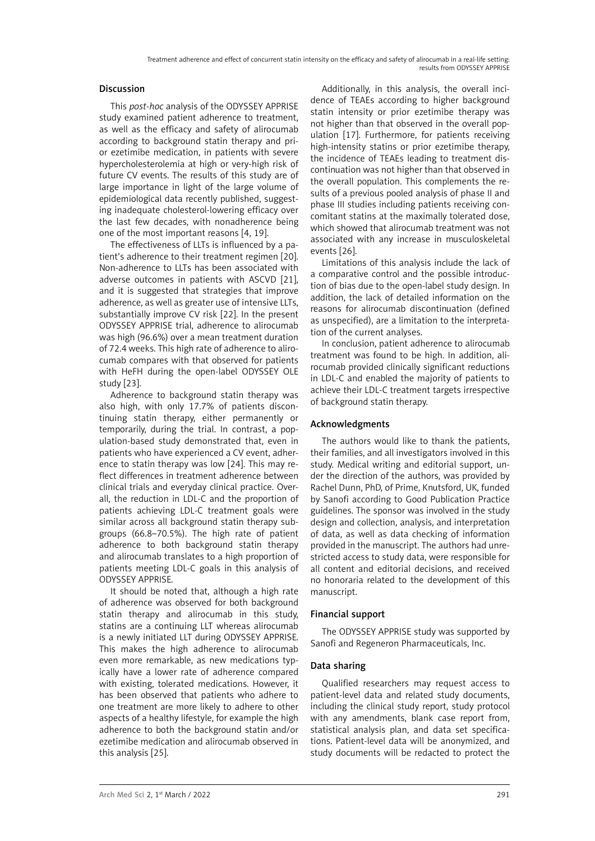# Discussion

This *post-hoc* analysis of the ODYSSEY APPRISE study examined patient adherence to treatment, as well as the efficacy and safety of alirocumab according to background statin therapy and prior ezetimibe medication, in patients with severe hypercholesterolemia at high or very-high risk of future CV events. The results of this study are of large importance in light of the large volume of epidemiological data recently published, suggesting inadequate cholesterol-lowering efficacy over the last few decades, with nonadherence being one of the most important reasons [4, 19].

The effectiveness of LLTs is influenced by a patient's adherence to their treatment regimen [20]. Non-adherence to LLTs has been associated with adverse outcomes in patients with ASCVD [21], and it is suggested that strategies that improve adherence, as well as greater use of intensive LLTs, substantially improve CV risk [22]. In the present ODYSSEY APPRISE trial, adherence to alirocumab was high (96.6%) over a mean treatment duration of 72.4 weeks. This high rate of adherence to alirocumab compares with that observed for patients with HeFH during the open-label ODYSSEY OLE study [23].

Adherence to background statin therapy was also high, with only 17.7% of patients discontinuing statin therapy, either permanently or temporarily, during the trial. In contrast, a population-based study demonstrated that, even in patients who have experienced a CV event, adherence to statin therapy was low [24]. This may reflect differences in treatment adherence between clinical trials and everyday clinical practice. Overall, the reduction in LDL-C and the proportion of patients achieving LDL-C treatment goals were similar across all background statin therapy subgroups (66.8–70.5%). The high rate of patient adherence to both background statin therapy and alirocumab translates to a high proportion of patients meeting LDL-C goals in this analysis of ODYSSEY APPRISE.

It should be noted that, although a high rate of adherence was observed for both background statin therapy and alirocumab in this study, statins are a continuing LLT whereas alirocumab is a newly initiated LLT during ODYSSEY APPRISE. This makes the high adherence to alirocumab even more remarkable, as new medications typically have a lower rate of adherence compared with existing, tolerated medications. However, it has been observed that patients who adhere to one treatment are more likely to adhere to other aspects of a healthy lifestyle, for example the high adherence to both the background statin and/or ezetimibe medication and alirocumab observed in this analysis [25].

Additionally, in this analysis, the overall incidence of TEAEs according to higher background statin intensity or prior ezetimibe therapy was not higher than that observed in the overall population [17]. Furthermore, for patients receiving high-intensity statins or prior ezetimibe therapy, the incidence of TEAEs leading to treatment discontinuation was not higher than that observed in the overall population. This complements the results of a previous pooled analysis of phase II and phase III studies including patients receiving concomitant statins at the maximally tolerated dose, which showed that alirocumab treatment was not associated with any increase in musculoskeletal events [26].

Limitations of this analysis include the lack of a comparative control and the possible introduction of bias due to the open-label study design. In addition, the lack of detailed information on the reasons for alirocumab discontinuation (defined as unspecified), are a limitation to the interpretation of the current analyses.

In conclusion, patient adherence to alirocumab treatment was found to be high. In addition, alirocumab provided clinically significant reductions in LDL-C and enabled the majority of patients to achieve their LDL-C treatment targets irrespective of background statin therapy.

# Acknowledgments

The authors would like to thank the patients, their families, and all investigators involved in this study. Medical writing and editorial support, under the direction of the authors, was provided by Rachel Dunn, PhD, of Prime, Knutsford, UK, funded by Sanofi according to Good Publication Practice guidelines. The sponsor was involved in the study design and collection, analysis, and interpretation of data, as well as data checking of information provided in the manuscript. The authors had unrestricted access to study data, were responsible for all content and editorial decisions, and received no honoraria related to the development of this manuscript.

# Financial support

The ODYSSEY APPRISE study was supported by Sanofi and Regeneron Pharmaceuticals, Inc.

# Data sharing

Qualified researchers may request access to patient-level data and related study documents, including the clinical study report, study protocol with any amendments, blank case report from, statistical analysis plan, and data set specifications. Patient-level data will be anonymized, and study documents will be redacted to protect the